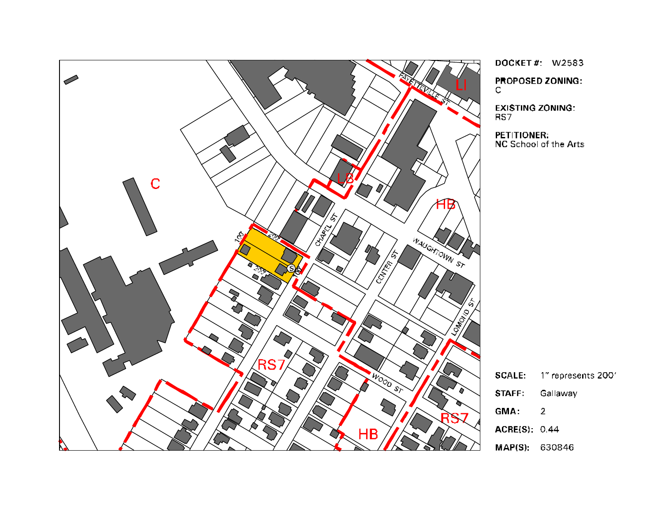

DOCKET#: W2583 **PROPOSED ZONING:** 

 $\mathbb{C}$ 

**EXISTING ZONING:** RS7

**PETITIONER:**<br>NC School of the Arts

| <b>SCALE:</b> | 1" represents 200' |
|---------------|--------------------|
| <b>STAFF</b>  | Gallaway           |
| GMA:          | 2                  |
| ACRE(S): 0.44 |                    |
| MAPIR) 630246 |                    |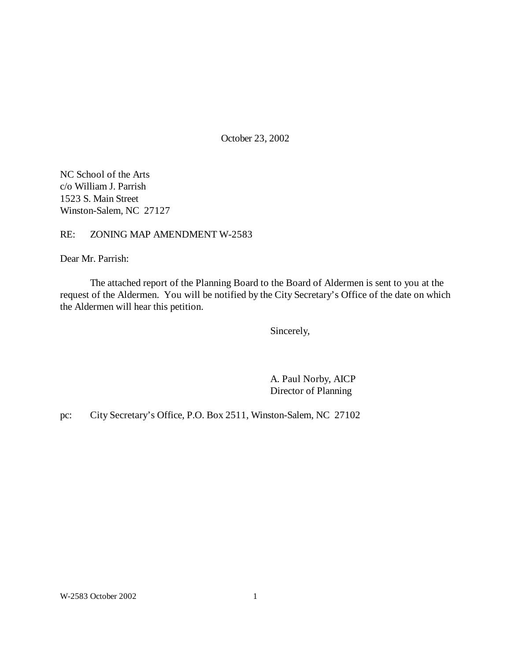October 23, 2002

NC School of the Arts c/o William J. Parrish 1523 S. Main Street Winston-Salem, NC 27127

### RE: ZONING MAP AMENDMENT W-2583

Dear Mr. Parrish:

The attached report of the Planning Board to the Board of Aldermen is sent to you at the request of the Aldermen. You will be notified by the City Secretary's Office of the date on which the Aldermen will hear this petition.

Sincerely,

A. Paul Norby, AICP Director of Planning

pc: City Secretary's Office, P.O. Box 2511, Winston-Salem, NC 27102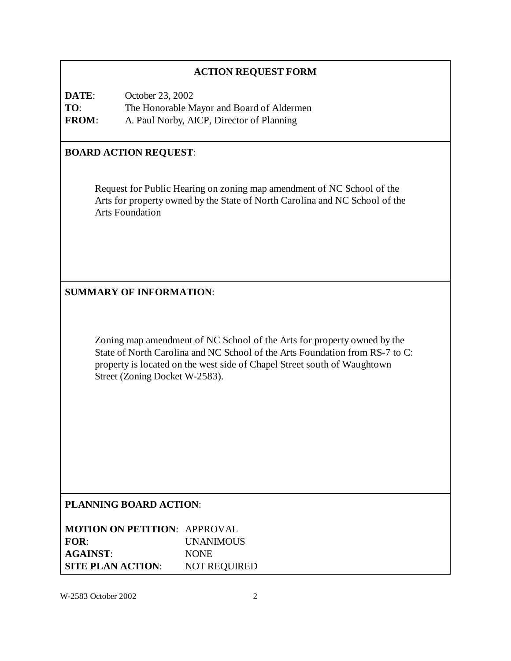## **ACTION REQUEST FORM**

**DATE**: October 23, 2002 **TO**: The Honorable Mayor and Board of Aldermen **FROM**: A. Paul Norby, AICP, Director of Planning

### **BOARD ACTION REQUEST**:

Request for Public Hearing on zoning map amendment of NC School of the Arts for property owned by the State of North Carolina and NC School of the Arts Foundation

### **SUMMARY OF INFORMATION**:

Zoning map amendment of NC School of the Arts for property owned by the State of North Carolina and NC School of the Arts Foundation from RS-7 to C: property is located on the west side of Chapel Street south of Waughtown Street (Zoning Docket W-2583).

### **PLANNING BOARD ACTION**:

| <b>MOTION ON PETITION: APPROVAL</b> |                     |
|-------------------------------------|---------------------|
| FOR:                                | <b>UNANIMOUS</b>    |
| <b>AGAINST:</b>                     | <b>NONE</b>         |
| <b>SITE PLAN ACTION:</b>            | <b>NOT REQUIRED</b> |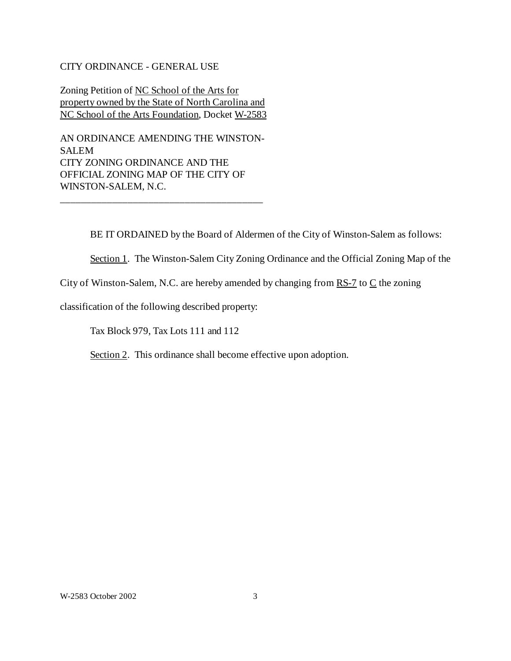#### CITY ORDINANCE - GENERAL USE

Zoning Petition of NC School of the Arts for property owned by the State of North Carolina and NC School of the Arts Foundation, Docket W-2583

AN ORDINANCE AMENDING THE WINSTON-SALEM CITY ZONING ORDINANCE AND THE OFFICIAL ZONING MAP OF THE CITY OF WINSTON-SALEM, N.C.

\_\_\_\_\_\_\_\_\_\_\_\_\_\_\_\_\_\_\_\_\_\_\_\_\_\_\_\_\_\_\_\_\_\_\_\_\_\_\_

BE IT ORDAINED by the Board of Aldermen of the City of Winston-Salem as follows:

Section 1. The Winston-Salem City Zoning Ordinance and the Official Zoning Map of the

City of Winston-Salem, N.C. are hereby amended by changing from  $RS-7$  to  $C$  the zoning

classification of the following described property:

Tax Block 979, Tax Lots 111 and 112

Section 2. This ordinance shall become effective upon adoption.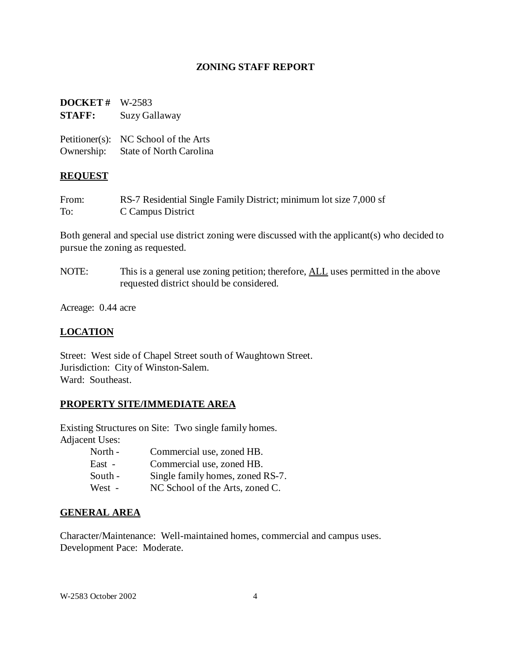### **ZONING STAFF REPORT**

## **DOCKET #** W-2583 **STAFF:** Suzy Gallaway

|            | Petitioner(s): NC School of the Arts |
|------------|--------------------------------------|
| Ownership: | State of North Carolina              |

### **REQUEST**

From: RS-7 Residential Single Family District; minimum lot size 7,000 sf To: C Campus District

Both general and special use district zoning were discussed with the applicant(s) who decided to pursue the zoning as requested.

NOTE: This is a general use zoning petition; therefore, ALL uses permitted in the above requested district should be considered.

Acreage: 0.44 acre

### **LOCATION**

Street: West side of Chapel Street south of Waughtown Street. Jurisdiction: City of Winston-Salem. Ward: Southeast.

### **PROPERTY SITE/IMMEDIATE AREA**

Existing Structures on Site: Two single family homes. Adjacent Uses:

| North - | Commercial use, zoned HB.        |
|---------|----------------------------------|
| East -  | Commercial use, zoned HB.        |
| South - | Single family homes, zoned RS-7. |
| West -  | NC School of the Arts, zoned C.  |

### **GENERAL AREA**

Character/Maintenance: Well-maintained homes, commercial and campus uses. Development Pace: Moderate.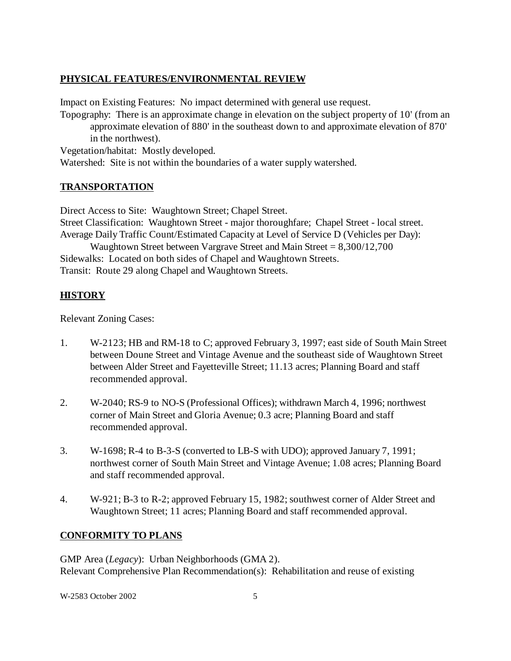## **PHYSICAL FEATURES/ENVIRONMENTAL REVIEW**

Impact on Existing Features: No impact determined with general use request.

Topography: There is an approximate change in elevation on the subject property of 10' (from an approximate elevation of 880' in the southeast down to and approximate elevation of 870' in the northwest).

Vegetation/habitat: Mostly developed.

Watershed: Site is not within the boundaries of a water supply watershed.

# **TRANSPORTATION**

Direct Access to Site: Waughtown Street; Chapel Street.

Street Classification: Waughtown Street - major thoroughfare; Chapel Street - local street. Average Daily Traffic Count/Estimated Capacity at Level of Service D (Vehicles per Day):

Waughtown Street between Vargrave Street and Main Street = 8,300/12,700 Sidewalks: Located on both sides of Chapel and Waughtown Streets. Transit: Route 29 along Chapel and Waughtown Streets.

# **HISTORY**

Relevant Zoning Cases:

- 1. W-2123; HB and RM-18 to C; approved February 3, 1997; east side of South Main Street between Doune Street and Vintage Avenue and the southeast side of Waughtown Street between Alder Street and Fayetteville Street; 11.13 acres; Planning Board and staff recommended approval.
- 2. W-2040; RS-9 to NO-S (Professional Offices); withdrawn March 4, 1996; northwest corner of Main Street and Gloria Avenue; 0.3 acre; Planning Board and staff recommended approval.
- 3. W-1698; R-4 to B-3-S (converted to LB-S with UDO); approved January 7, 1991; northwest corner of South Main Street and Vintage Avenue; 1.08 acres; Planning Board and staff recommended approval.
- 4. W-921; B-3 to R-2; approved February 15, 1982; southwest corner of Alder Street and Waughtown Street; 11 acres; Planning Board and staff recommended approval.

# **CONFORMITY TO PLANS**

GMP Area (*Legacy*): Urban Neighborhoods (GMA 2). Relevant Comprehensive Plan Recommendation(s): Rehabilitation and reuse of existing

W-2583 October 2002 5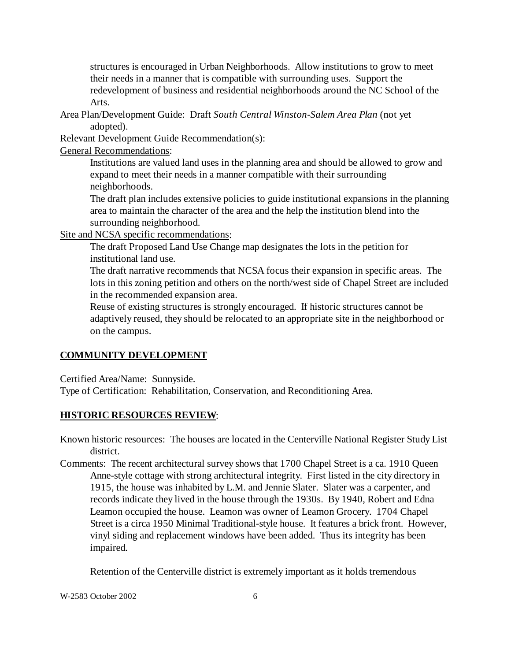structures is encouraged in Urban Neighborhoods. Allow institutions to grow to meet their needs in a manner that is compatible with surrounding uses. Support the redevelopment of business and residential neighborhoods around the NC School of the Arts.

Area Plan/Development Guide: Draft *South Central Winston-Salem Area Plan* (not yet adopted).

Relevant Development Guide Recommendation(s):

General Recommendations:

Institutions are valued land uses in the planning area and should be allowed to grow and expand to meet their needs in a manner compatible with their surrounding neighborhoods.

The draft plan includes extensive policies to guide institutional expansions in the planning area to maintain the character of the area and the help the institution blend into the surrounding neighborhood.

Site and NCSA specific recommendations:

The draft Proposed Land Use Change map designates the lots in the petition for institutional land use.

The draft narrative recommends that NCSA focus their expansion in specific areas. The lots in this zoning petition and others on the north/west side of Chapel Street are included in the recommended expansion area.

Reuse of existing structures is strongly encouraged. If historic structures cannot be adaptively reused, they should be relocated to an appropriate site in the neighborhood or on the campus.

### **COMMUNITY DEVELOPMENT**

Certified Area/Name: Sunnyside.

Type of Certification: Rehabilitation, Conservation, and Reconditioning Area.

### **HISTORIC RESOURCES REVIEW**:

Known historic resources: The houses are located in the Centerville National Register Study List district.

Comments: The recent architectural survey shows that 1700 Chapel Street is a ca. 1910 Queen Anne-style cottage with strong architectural integrity. First listed in the city directory in 1915, the house was inhabited by L.M. and Jennie Slater. Slater was a carpenter, and records indicate they lived in the house through the 1930s. By 1940, Robert and Edna Leamon occupied the house. Leamon was owner of Leamon Grocery. 1704 Chapel Street is a circa 1950 Minimal Traditional-style house. It features a brick front. However, vinyl siding and replacement windows have been added. Thus its integrity has been impaired.

Retention of the Centerville district is extremely important as it holds tremendous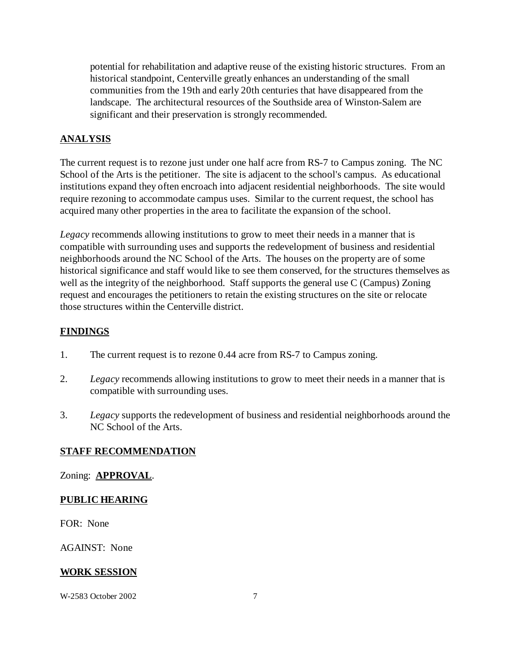potential for rehabilitation and adaptive reuse of the existing historic structures. From an historical standpoint, Centerville greatly enhances an understanding of the small communities from the 19th and early 20th centuries that have disappeared from the landscape. The architectural resources of the Southside area of Winston-Salem are significant and their preservation is strongly recommended.

## **ANALYSIS**

The current request is to rezone just under one half acre from RS-7 to Campus zoning. The NC School of the Arts is the petitioner. The site is adjacent to the school's campus. As educational institutions expand they often encroach into adjacent residential neighborhoods. The site would require rezoning to accommodate campus uses. Similar to the current request, the school has acquired many other properties in the area to facilitate the expansion of the school.

*Legacy* recommends allowing institutions to grow to meet their needs in a manner that is compatible with surrounding uses and supports the redevelopment of business and residential neighborhoods around the NC School of the Arts. The houses on the property are of some historical significance and staff would like to see them conserved, for the structures themselves as well as the integrity of the neighborhood. Staff supports the general use C (Campus) Zoning request and encourages the petitioners to retain the existing structures on the site or relocate those structures within the Centerville district.

### **FINDINGS**

- 1. The current request is to rezone 0.44 acre from RS-7 to Campus zoning.
- 2. *Legacy* recommends allowing institutions to grow to meet their needs in a manner that is compatible with surrounding uses.
- 3. *Legacy* supports the redevelopment of business and residential neighborhoods around the NC School of the Arts.

### **STAFF RECOMMENDATION**

### Zoning: **APPROVAL**.

### **PUBLIC HEARING**

FOR: None

AGAINST: None

### **WORK SESSION**

W-2583 October 2002 7